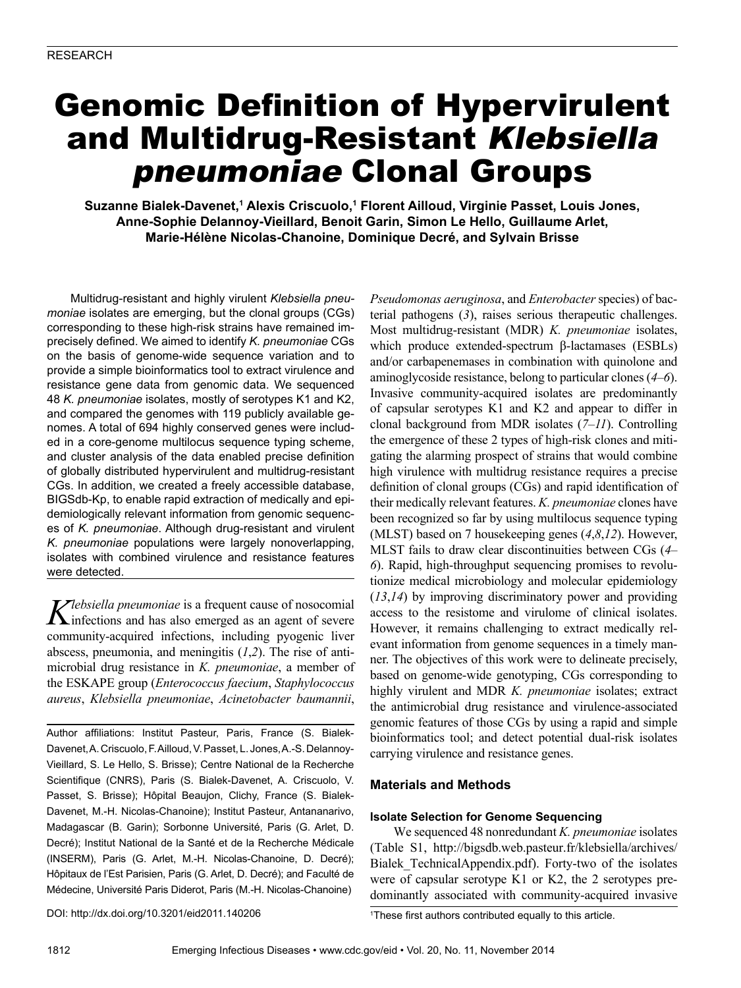# Genomic Definition of Hypervirulent and Multidrug-Resistant Klebsiella pneumoniae Clonal Groups

**Suzanne Bialek-Davenet,1 Alexis Criscuolo,1 Florent Ailloud, Virginie Passet, Louis Jones, Anne-Sophie Delannoy-Vieillard, Benoit Garin, Simon Le Hello, Guillaume Arlet, Marie-Hélène Nicolas-Chanoine, Dominique Decré, and Sylvain Brisse**

Multidrug-resistant and highly virulent *Klebsiella pneumoniae* isolates are emerging, but the clonal groups (CGs) corresponding to these high-risk strains have remained imprecisely defined. We aimed to identify *K. pneumoniae* CGs on the basis of genome-wide sequence variation and to provide a simple bioinformatics tool to extract virulence and resistance gene data from genomic data. We sequenced 48 *K. pneumoniae* isolates, mostly of serotypes K1 and K2, and compared the genomes with 119 publicly available genomes. A total of 694 highly conserved genes were included in a core-genome multilocus sequence typing scheme, and cluster analysis of the data enabled precise definition of globally distributed hypervirulent and multidrug-resistant CGs. In addition, we created a freely accessible database, BIGSdb-Kp, to enable rapid extraction of medically and epidemiologically relevant information from genomic sequences of *K. pneumoniae*. Although drug-resistant and virulent *K. pneumoniae* populations were largely nonoverlapping, isolates with combined virulence and resistance features were detected.

*Klebsiella pneumoniae* is a frequent cause of nosocomial infections and has also emerged as an agent of severe community-acquired infections, including pyogenic liver abscess, pneumonia, and meningitis (*1*,*2*). The rise of antimicrobial drug resistance in *K. pneumoniae*, a member of the ESKAPE group (*Enterococcus faecium*, *Staphylococcus aureus*, *Klebsiella pneumoniae*, *Acinetobacter baumannii*,

Author affiliations: Institut Pasteur, Paris, France (S. Bialek-Davenet, A. Criscuolo, F. Ailloud, V. Passet, L. Jones, A.-S. Delannoy-Vieillard, S. Le Hello, S. Brisse); Centre National de la Recherche Scientifique (CNRS), Paris (S. Bialek-Davenet, A. Criscuolo, V. Passet, S. Brisse); Hôpital Beaujon, Clichy, France (S. Bialek-Davenet, M.-H. Nicolas-Chanoine); Institut Pasteur, Antananarivo, Madagascar (B. Garin); Sorbonne Université, Paris (G. Arlet, D. Decré); Institut National de la Santé et de la Recherche Médicale (INSERM), Paris (G. Arlet, M.-H. Nicolas-Chanoine, D. Decré); Hôpitaux de l'Est Parisien, Paris (G. Arlet, D. Decré); and Faculté de Médecine, Université Paris Diderot, Paris (M.-H. Nicolas-Chanoine)

DOI: http://dx.doi.org/10.3201/eid2011.140206 <sup>1</sup>

*Pseudomonas aeruginosa*, and *Enterobacter* species) of bacterial pathogens (*3*), raises serious therapeutic challenges. Most multidrug-resistant (MDR) *K. pneumoniae* isolates, which produce extended-spectrum β-lactamases (ESBLs) and/or carbapenemases in combination with quinolone and aminoglycoside resistance, belong to particular clones (*4*–*6*). Invasive community-acquired isolates are predominantly of capsular serotypes K1 and K2 and appear to differ in clonal background from MDR isolates (*7*–*11*). Controlling the emergence of these 2 types of high-risk clones and mitigating the alarming prospect of strains that would combine high virulence with multidrug resistance requires a precise definition of clonal groups (CGs) and rapid identification of their medically relevant features. *K. pneumoniae* clones have been recognized so far by using multilocus sequence typing (MLST) based on 7 housekeeping genes (*4*,*8*,*12*). However, MLST fails to draw clear discontinuities between CGs (*4*– *6*). Rapid, high-throughput sequencing promises to revolutionize medical microbiology and molecular epidemiology (*13*,*14*) by improving discriminatory power and providing access to the resistome and virulome of clinical isolates. However, it remains challenging to extract medically relevant information from genome sequences in a timely manner. The objectives of this work were to delineate precisely, based on genome-wide genotyping, CGs corresponding to highly virulent and MDR *K. pneumoniae* isolates; extract the antimicrobial drug resistance and virulence-associated genomic features of those CGs by using a rapid and simple bioinformatics tool; and detect potential dual-risk isolates carrying virulence and resistance genes.

# **Materials and Methods**

#### **Isolate Selection for Genome Sequencing**

We sequenced 48 nonredundant *K. pneumoniae* isolates (Table S1, http://bigsdb.web.pasteur.fr/klebsiella/archives/ Bialek\_TechnicalAppendix.pdf). Forty-two of the isolates were of capsular serotype K1 or K2, the 2 serotypes predominantly associated with community-acquired invasive

These first authors contributed equally to this article.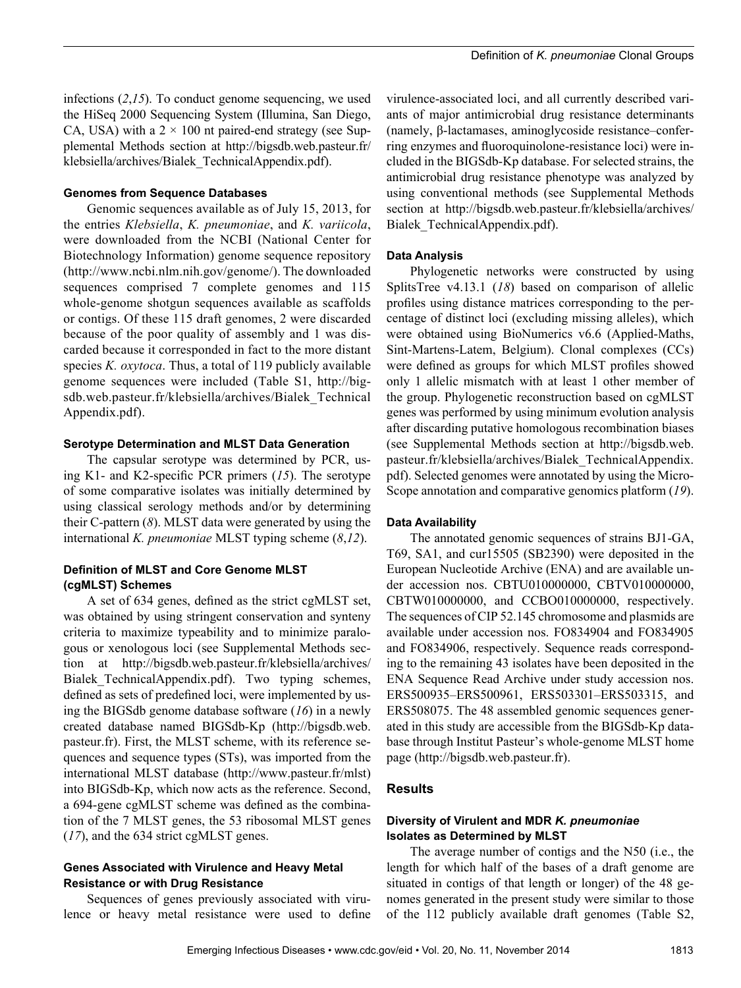infections (*2*,*15*). To conduct genome sequencing, we used the HiSeq 2000 Sequencing System (Illumina, San Diego, CA, USA) with a  $2 \times 100$  nt paired-end strategy (see Supplemental Methods section at http://bigsdb.web.pasteur.fr/ klebsiella/archives/Bialek\_TechnicalAppendix.pdf).

#### **Genomes from Sequence Databases**

Genomic sequences available as of July 15, 2013, for the entries *Klebsiella*, *K. pneumoniae*, and *K. variicola*, were downloaded from the NCBI (National Center for Biotechnology Information) genome sequence repository (http://www.ncbi.nlm.nih.gov/genome/). The downloaded sequences comprised 7 complete genomes and 115 whole-genome shotgun sequences available as scaffolds or contigs. Of these 115 draft genomes, 2 were discarded because of the poor quality of assembly and 1 was discarded because it corresponded in fact to the more distant species *K. oxytoca*. Thus, a total of 119 publicly available genome sequences were included (Table S1, http://bigsdb.web.pasteur.fr/klebsiella/archives/Bialek\_Technical Appendix.pdf).

## **Serotype Determination and MLST Data Generation**

The capsular serotype was determined by PCR, using K1- and K2-specific PCR primers (*15*). The serotype of some comparative isolates was initially determined by using classical serology methods and/or by determining their C-pattern (*8*). MLST data were generated by using the international *K. pneumoniae* MLST typing scheme (*8*,*12*).

# **Definition of MLST and Core Genome MLST (cgMLST) Schemes**

A set of 634 genes, defined as the strict cgMLST set, was obtained by using stringent conservation and synteny criteria to maximize typeability and to minimize paralogous or xenologous loci (see Supplemental Methods section at http://bigsdb.web.pasteur.fr/klebsiella/archives/ Bialek\_TechnicalAppendix.pdf). Two typing schemes, defined as sets of predefined loci, were implemented by using the BIGSdb genome database software (*16*) in a newly created database named BIGSdb-Kp (http://bigsdb.web. pasteur.fr). First, the MLST scheme, with its reference sequences and sequence types (STs), was imported from the international MLST database (http://www.pasteur.fr/mlst) into BIGSdb-Kp, which now acts as the reference. Second, a 694-gene cgMLST scheme was defined as the combination of the 7 MLST genes, the 53 ribosomal MLST genes (*17*), and the 634 strict cgMLST genes.

## **Genes Associated with Virulence and Heavy Metal Resistance or with Drug Resistance**

Sequences of genes previously associated with virulence or heavy metal resistance were used to define

virulence-associated loci, and all currently described variants of major antimicrobial drug resistance determinants (namely, β-lactamases, aminoglycoside resistance–conferring enzymes and fluoroquinolone-resistance loci) were included in the BIGSdb-Kp database. For selected strains, the antimicrobial drug resistance phenotype was analyzed by using conventional methods (see Supplemental Methods section at http://bigsdb.web.pasteur.fr/klebsiella/archives/ Bialek\_TechnicalAppendix.pdf).

#### **Data Analysis**

Phylogenetic networks were constructed by using SplitsTree v4.13.1 (*18*) based on comparison of allelic profiles using distance matrices corresponding to the percentage of distinct loci (excluding missing alleles), which were obtained using BioNumerics v6.6 (Applied-Maths, Sint-Martens-Latem, Belgium). Clonal complexes (CCs) were defined as groups for which MLST profiles showed only 1 allelic mismatch with at least 1 other member of the group. Phylogenetic reconstruction based on cgMLST genes was performed by using minimum evolution analysis after discarding putative homologous recombination biases (see Supplemental Methods section at http://bigsdb.web. pasteur.fr/klebsiella/archives/Bialek\_TechnicalAppendix. pdf). Selected genomes were annotated by using the Micro-Scope annotation and comparative genomics platform (*19*).

#### **Data Availability**

The annotated genomic sequences of strains BJ1-GA, T69, SA1, and cur15505 (SB2390) were deposited in the European Nucleotide Archive (ENA) and are available under accession nos. CBTU010000000, CBTV010000000, CBTW010000000, and CCBO010000000, respectively. The sequences of CIP 52.145 chromosome and plasmids are available under accession nos. FO834904 and FO834905 and FO834906, respectively. Sequence reads corresponding to the remaining 43 isolates have been deposited in the ENA Sequence Read Archive under study accession nos. ERS500935–ERS500961, ERS503301–ERS503315, and ERS508075. The 48 assembled genomic sequences generated in this study are accessible from the BIGSdb-Kp database through Institut Pasteur's whole-genome MLST home page (http://bigsdb.web.pasteur.fr).

# **Results**

## **Diversity of Virulent and MDR** *K. pneumoniae* **Isolates as Determined by MLST**

The average number of contigs and the N50 (i.e., the length for which half of the bases of a draft genome are situated in contigs of that length or longer) of the 48 genomes generated in the present study were similar to those of the 112 publicly available draft genomes (Table S2,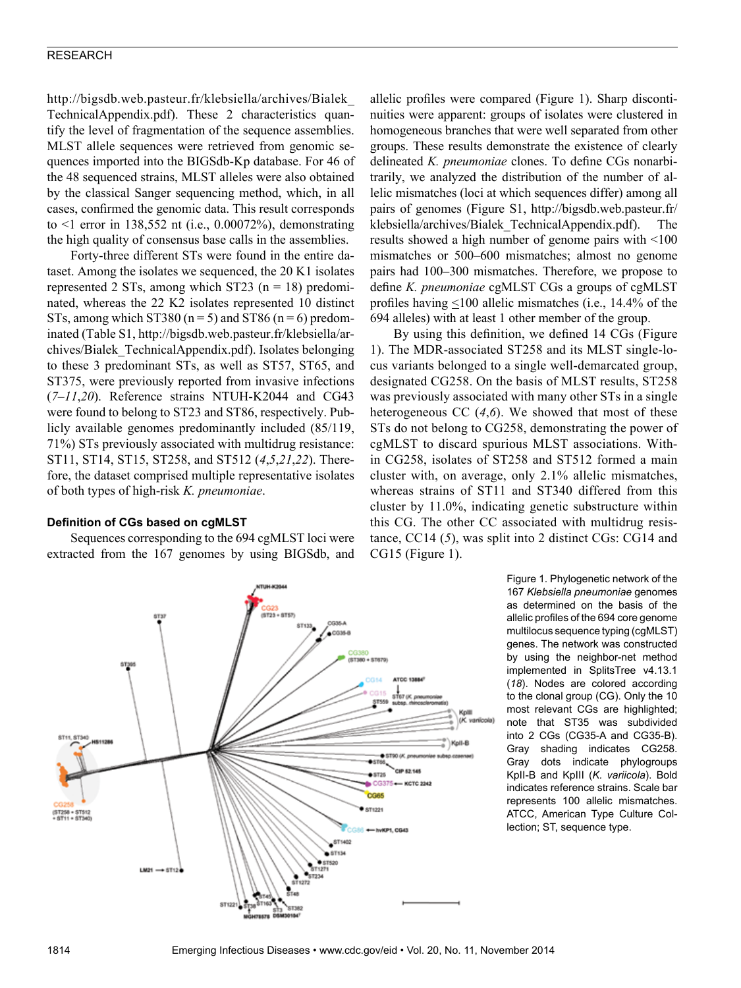http://bigsdb.web.pasteur.fr/klebsiella/archives/Bialek\_ TechnicalAppendix.pdf). These 2 characteristics quantify the level of fragmentation of the sequence assemblies. MLST allele sequences were retrieved from genomic sequences imported into the BIGSdb-Kp database. For 46 of the 48 sequenced strains, MLST alleles were also obtained by the classical Sanger sequencing method, which, in all cases, confirmed the genomic data. This result corresponds to <1 error in 138,552 nt (i.e., 0.00072%), demonstrating the high quality of consensus base calls in the assemblies.

Forty-three different STs were found in the entire dataset. Among the isolates we sequenced, the 20 K1 isolates represented 2 STs, among which ST23 ( $n = 18$ ) predominated, whereas the 22 K2 isolates represented 10 distinct STs, among which ST380 ( $n = 5$ ) and ST86 ( $n = 6$ ) predominated (Table S1, http://bigsdb.web.pasteur.fr/klebsiella/archives/Bialek\_TechnicalAppendix.pdf). Isolates belonging to these 3 predominant STs, as well as ST57, ST65, and ST375, were previously reported from invasive infections (*7*–*11*,*20*). Reference strains NTUH-K2044 and CG43 were found to belong to ST23 and ST86, respectively. Publicly available genomes predominantly included (85/119, 71%) STs previously associated with multidrug resistance: ST11, ST14, ST15, ST258, and ST512 (*4*,*5*,*21*,*22*). Therefore, the dataset comprised multiple representative isolates of both types of high-risk *K. pneumoniae*.

## **Definition of CGs based on cgMLST**

Sequences corresponding to the 694 cgMLST loci were extracted from the 167 genomes by using BIGSdb, and

allelic profiles were compared (Figure 1). Sharp discontinuities were apparent: groups of isolates were clustered in homogeneous branches that were well separated from other groups. These results demonstrate the existence of clearly delineated *K. pneumoniae* clones. To define CGs nonarbitrarily, we analyzed the distribution of the number of allelic mismatches (loci at which sequences differ) among all pairs of genomes (Figure S1, http://bigsdb.web.pasteur.fr/ klebsiella/archives/Bialek\_TechnicalAppendix.pdf). The results showed a high number of genome pairs with <100 mismatches or 500–600 mismatches; almost no genome pairs had 100–300 mismatches. Therefore, we propose to define *K. pneumoniae* cgMLST CGs a groups of cgMLST profiles having  $\leq 100$  allelic mismatches (i.e., 14.4% of the 694 alleles) with at least 1 other member of the group.

By using this definition, we defined 14 CGs (Figure 1). The MDR-associated ST258 and its MLST single-locus variants belonged to a single well-demarcated group, designated CG258. On the basis of MLST results, ST258 was previously associated with many other STs in a single heterogeneous CC (*4*,*6*). We showed that most of these STs do not belong to CG258, demonstrating the power of cgMLST to discard spurious MLST associations. Within CG258, isolates of ST258 and ST512 formed a main cluster with, on average, only 2.1% allelic mismatches, whereas strains of ST11 and ST340 differed from this cluster by 11.0%, indicating genetic substructure within this CG. The other CC associated with multidrug resistance, CC14 (*5*), was split into 2 distinct CGs: CG14 and CG15 (Figure 1).

> Figure 1. Phylogenetic network of the 167 *Klebsiella pneumoniae* genomes as determined on the basis of the allelic profiles of the 694 core genome multilocus sequence typing (cgMLST) genes. The network was constructed by using the neighbor-net method implemented in SplitsTree v4.13.1 (*18*). Nodes are colored according to the clonal group (CG). Only the 10 most relevant CGs are highlighted; note that ST35 was subdivided into 2 CGs (CG35-A and CG35-B). Gray shading indicates CG258. Gray dots indicate phylogroups KpII-B and KpIII (*K. variicola*). Bold indicates reference strains. Scale bar represents 100 allelic mismatches. ATCC, American Type Culture Collection; ST, sequence type.

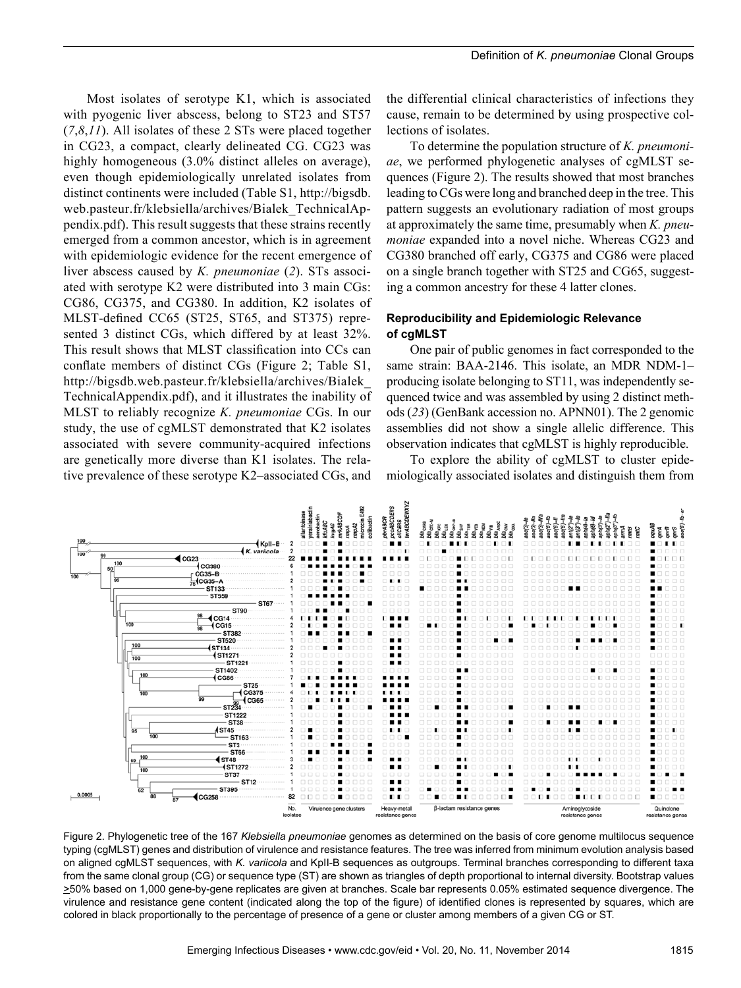Most isolates of serotype K1, which is associated with pyogenic liver abscess, belong to ST23 and ST57 (*7*,*8*,*11*). All isolates of these 2 STs were placed together in CG23, a compact, clearly delineated CG. CG23 was highly homogeneous  $(3.0\%$  distinct alleles on average), even though epidemiologically unrelated isolates from distinct continents were included (Table S1, http://bigsdb. web.pasteur.fr/klebsiella/archives/Bialek\_TechnicalAppendix.pdf). This result suggests that these strains recently emerged from a common ancestor, which is in agreement with epidemiologic evidence for the recent emergence of liver abscess caused by *K. pneumoniae* (*2*). STs associated with serotype K2 were distributed into 3 main CGs: CG86, CG375, and CG380. In addition, K2 isolates of MLST-defined CC65 (ST25, ST65, and ST375) represented 3 distinct CGs, which differed by at least 32%. This result shows that MLST classification into CCs can conflate members of distinct CGs (Figure 2; Table S1, http://bigsdb.web.pasteur.fr/klebsiella/archives/Bialek\_ TechnicalAppendix.pdf), and it illustrates the inability of MLST to reliably recognize *K. pneumoniae* CGs. In our study, the use of cgMLST demonstrated that K2 isolates associated with severe community-acquired infections are genetically more diverse than K1 isolates. The relative prevalence of these serotype K2–associated CGs, and

the differential clinical characteristics of infections they cause, remain to be determined by using prospective collections of isolates.

To determine the population structure of *K. pneumoniae*, we performed phylogenetic analyses of cgMLST sequences (Figure 2). The results showed that most branches leading to CGs were long and branched deep in the tree. This pattern suggests an evolutionary radiation of most groups at approximately the same time, presumably when *K. pneumoniae* expanded into a novel niche. Whereas CG23 and CG380 branched off early, CG375 and CG86 were placed on a single branch together with ST25 and CG65, suggesting a common ancestry for these 4 latter clones.

# **Reproducibility and Epidemiologic Relevance of cgMLST**

One pair of public genomes in fact corresponded to the same strain: BAA-2146. This isolate, an MDR NDM-1– producing isolate belonging to ST11, was independently sequenced twice and was assembled by using 2 distinct methods (*23*) (GenBank accession no. APNN01). The 2 genomic assemblies did not show a single allelic difference. This observation indicates that cgMLST is highly reproducible.

To explore the ability of cgMLST to cluster epidemiologically associated isolates and distinguish them from



Figure 2. Phylogenetic tree of the 167 *Klebsiella pneumoniae* genomes as determined on the basis of core genome multilocus sequence typing (cgMLST) genes and distribution of virulence and resistance features. The tree was inferred from minimum evolution analysis based on aligned cgMLST sequences, with *K. variicola* and KpII-B sequences as outgroups. Terminal branches corresponding to different taxa from the same clonal group (CG) or sequence type (ST) are shown as triangles of depth proportional to internal diversity. Bootstrap values >50% based on 1,000 gene-by-gene replicates are given at branches. Scale bar represents 0.05% estimated sequence divergence. The virulence and resistance gene content (indicated along the top of the figure) of identified clones is represented by squares, which are colored in black proportionally to the percentage of presence of a gene or cluster among members of a given CG or ST.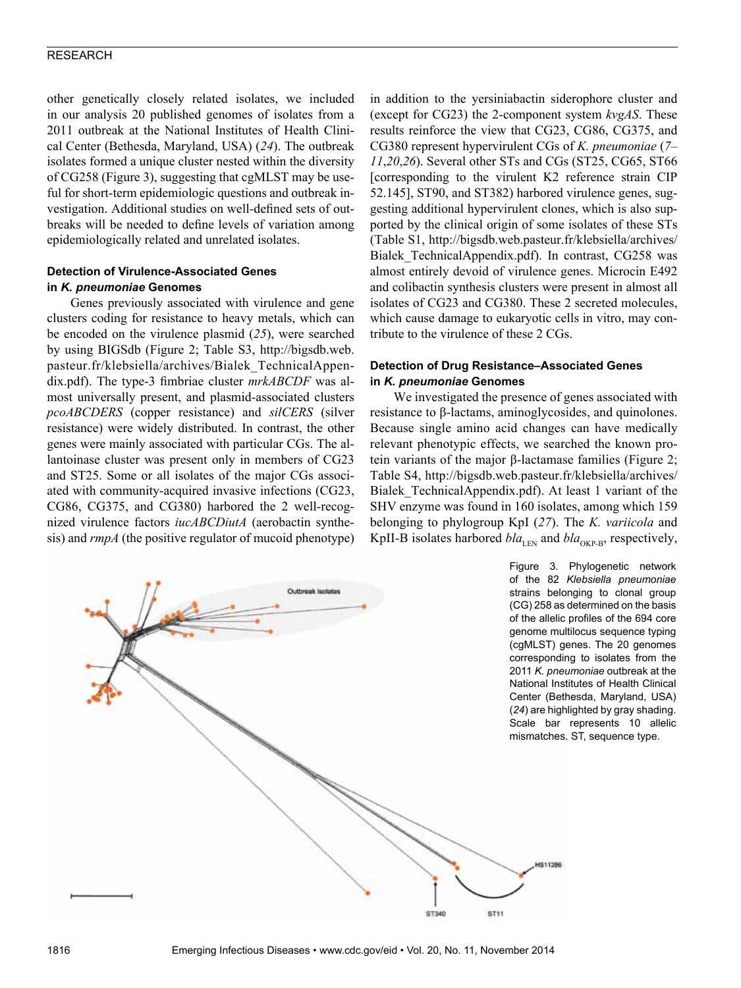other genetically closely related isolates, we included in our analysis 20 published genomes of isolates from a 2011 outbreak at the National Institutes of Health Clinical Center (Bethesda, Maryland, USA) (*24*). The outbreak isolates formed a unique cluster nested within the diversity of CG258 (Figure 3), suggesting that cgMLST may be useful for short-term epidemiologic questions and outbreak investigation. Additional studies on well-defined sets of outbreaks will be needed to define levels of variation among epidemiologically related and unrelated isolates.

# **Detection of Virulence-Associated Genes in** *K. pneumoniae* **Genomes**

Genes previously associated with virulence and gene clusters coding for resistance to heavy metals, which can be encoded on the virulence plasmid (*25*), were searched by using BIGSdb (Figure 2; Table S3, http://bigsdb.web. pasteur.fr/klebsiella/archives/Bialek\_TechnicalAppendix.pdf). The type-3 fimbriae cluster *mrkABCDF* was almost universally present, and plasmid-associated clusters *pcoABCDERS* (copper resistance) and *silCERS* (silver resistance) were widely distributed. In contrast, the other genes were mainly associated with particular CGs. The allantoinase cluster was present only in members of CG23 and ST25. Some or all isolates of the major CGs associated with community-acquired invasive infections (CG23, CG86, CG375, and CG380) harbored the 2 well-recognized virulence factors *iucABCDiutA* (aerobactin synthesis) and *rmpA* (the positive regulator of mucoid phenotype)

in addition to the yersiniabactin siderophore cluster and (except for CG23) the 2-component system *kvgAS*. These results reinforce the view that CG23, CG86, CG375, and CG380 represent hypervirulent CGs of *K. pneumoniae* (*7*– *11*,*20*,*26*). Several other STs and CGs (ST25, CG65, ST66 [corresponding to the virulent K2 reference strain CIP 52.145], ST90, and ST382) harbored virulence genes, suggesting additional hypervirulent clones, which is also supported by the clinical origin of some isolates of these STs (Table S1, http://bigsdb.web.pasteur.fr/klebsiella/archives/ Bialek\_TechnicalAppendix.pdf). In contrast, CG258 was almost entirely devoid of virulence genes. Microcin E492 and colibactin synthesis clusters were present in almost all isolates of CG23 and CG380. These 2 secreted molecules, which cause damage to eukaryotic cells in vitro, may contribute to the virulence of these 2 CGs.

# **Detection of Drug Resistance–Associated Genes in** *K. pneumoniae* **Genomes**

We investigated the presence of genes associated with resistance to β-lactams, aminoglycosides, and quinolones. Because single amino acid changes can have medically relevant phenotypic effects, we searched the known protein variants of the major β-lactamase families (Figure 2; Table S4, http://bigsdb.web.pasteur.fr/klebsiella/archives/ Bialek\_TechnicalAppendix.pdf). At least 1 variant of the SHV enzyme was found in 160 isolates, among which 159 belonging to phylogroup KpI (*27*). The *K. variicola* and KpII-B isolates harbored  $bla$ <sub>LEN</sub> and  $bla$ <sub>OKP-B</sub>, respectively,

> Figure 3. Phylogenetic network of the 82 *Klebsiella pneumoniae* strains belonging to clonal group (CG) 258 as determined on the basis of the allelic profiles of the 694 core genome multilocus sequence typing (cgMLST) genes. The 20 genomes corresponding to isolates from the 2011 *K. pneumoniae* outbreak at the National Institutes of Health Clinical Center (Bethesda, Maryland, USA) (*24*) are highlighted by gray shading. Scale bar represents 10 allelic mismatches. ST, sequence type.

> > 6911286

**ST340** 

ST<sub>11</sub>

Outbreak isolates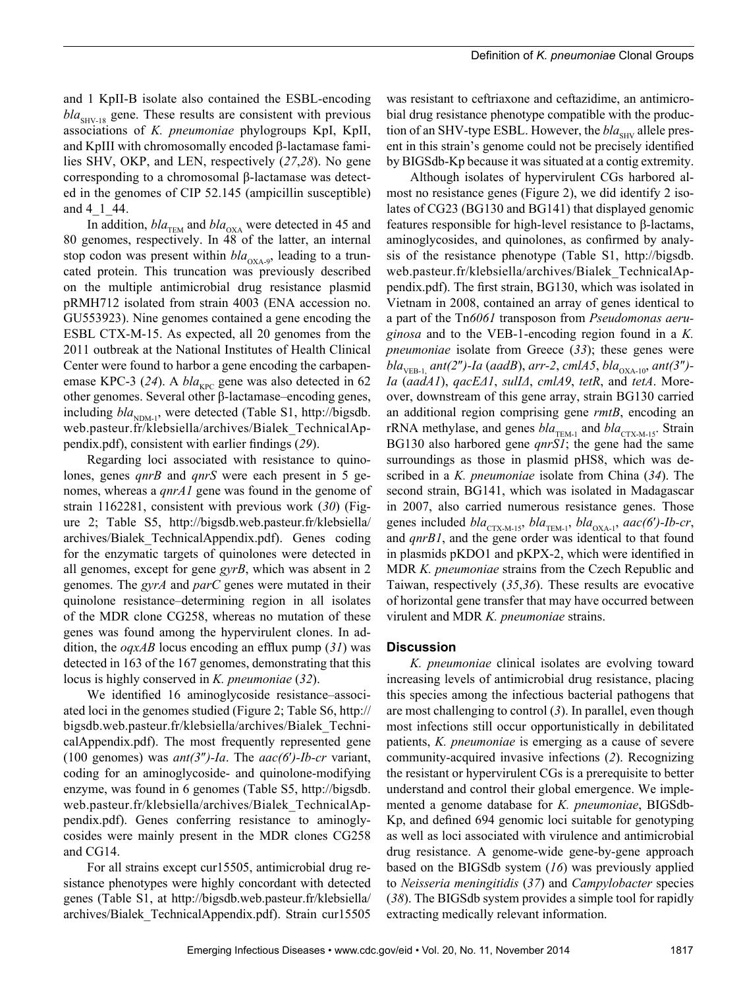and 1 KpII-B isolate also contained the ESBL-encoding  $bla<sub>SHV-18</sub>$  gene. These results are consistent with previous associations of *K. pneumoniae* phylogroups KpI, KpII, and KpIII with chromosomally encoded β-lactamase families SHV, OKP, and LEN, respectively (*27*,*28*). No gene corresponding to a chromosomal β-lactamase was detected in the genomes of CIP 52.145 (ampicillin susceptible) and 4<sup>1</sup> 44.

In addition,  $bla_{\text{TEM}}$  and  $bla_{\text{OXA}}$  were detected in 45 and 80 genomes, respectively. In 48 of the latter, an internal stop codon was present within  $bla_{\text{OXA-9}}$ , leading to a truncated protein. This truncation was previously described on the multiple antimicrobial drug resistance plasmid pRMH712 isolated from strain 4003 (ENA accession no. GU553923). Nine genomes contained a gene encoding the ESBL CTX-M-15. As expected, all 20 genomes from the 2011 outbreak at the National Institutes of Health Clinical Center were found to harbor a gene encoding the carbapenemase KPC-3 (24). A *bla*<sub>KPC</sub> gene was also detected in 62 other genomes. Several other β-lactamase–encoding genes, including  $bla_{NDM-1}$ , were detected (Table S1, http://bigsdb. web.pasteur.fr/klebsiella/archives/Bialek\_TechnicalAppendix.pdf), consistent with earlier findings (*29*).

Regarding loci associated with resistance to quinolones, genes *qnrB* and *qnrS* were each present in 5 genomes, whereas a *qnrA1* gene was found in the genome of strain 1162281, consistent with previous work (*30*) (Figure 2; Table S5, http://bigsdb.web.pasteur.fr/klebsiella/ archives/Bialek\_TechnicalAppendix.pdf). Genes coding for the enzymatic targets of quinolones were detected in all genomes, except for gene *gyrB*, which was absent in 2 genomes. The *gyrA* and *parC* genes were mutated in their quinolone resistance–determining region in all isolates of the MDR clone CG258, whereas no mutation of these genes was found among the hypervirulent clones. In addition, the *oqxAB* locus encoding an efflux pump (*31*) was detected in 163 of the 167 genomes, demonstrating that this locus is highly conserved in *K. pneumoniae* (*32*).

We identified 16 aminoglycoside resistance–associated loci in the genomes studied (Figure 2; Table S6, http:// bigsdb.web.pasteur.fr/klebsiella/archives/Bialek\_TechnicalAppendix.pdf). The most frequently represented gene (100 genomes) was *ant(3*″*)-Ia*. The *aac(6*′*)-Ib-cr* variant, coding for an aminoglycoside- and quinolone-modifying enzyme, was found in 6 genomes (Table S5, http://bigsdb. web.pasteur.fr/klebsiella/archives/Bialek\_TechnicalAppendix.pdf). Genes conferring resistance to aminoglycosides were mainly present in the MDR clones CG258 and CG14.

For all strains except cur15505, antimicrobial drug resistance phenotypes were highly concordant with detected genes (Table S1, at http://bigsdb.web.pasteur.fr/klebsiella/ archives/Bialek\_TechnicalAppendix.pdf). Strain cur15505

was resistant to ceftriaxone and ceftazidime, an antimicrobial drug resistance phenotype compatible with the production of an SHV-type ESBL. However, the *bla*<sub>SHV</sub> allele present in this strain's genome could not be precisely identified by BIGSdb-Kp because it was situated at a contig extremity.

Although isolates of hypervirulent CGs harbored almost no resistance genes (Figure 2), we did identify 2 isolates of CG23 (BG130 and BG141) that displayed genomic features responsible for high-level resistance to β-lactams, aminoglycosides, and quinolones, as confirmed by analysis of the resistance phenotype (Table S1, http://bigsdb. web.pasteur.fr/klebsiella/archives/Bialek\_TechnicalAppendix.pdf). The first strain, BG130, which was isolated in Vietnam in 2008, contained an array of genes identical to a part of the Tn*6061* transposon from *Pseudomonas aeruginosa* and to the VEB-1-encoding region found in a *K. pneumoniae* isolate from Greece (*33*); these genes were *bla*<sub>VEB-1</sub></sub> *ant*(2")-Ia (*aadB*), *arr-2*, *cmlA5*, *bla*<sub>OXA-10</sub>, *ant*(3")-*Ia* (*aadA1*), *qacEΔ1*, *sulIΔ*, *cmlA9*, *tetR*, and *tetA*. Moreover, downstream of this gene array, strain BG130 carried an additional region comprising gene *rmtB*, encoding an rRNA methylase, and genes *bla*<sub>TEM-1</sub> and *bla*<sub>CTX-M-15</sub>. Strain BG130 also harbored gene *qnrS1*; the gene had the same surroundings as those in plasmid pHS8, which was described in a *K. pneumoniae* isolate from China (*34*). The second strain, BG141, which was isolated in Madagascar in 2007, also carried numerous resistance genes. Those genes included *bla*<sub>CTX-M-15</sub>, *bla*<sub>TEM-1</sub>, *bla*<sub>OXA-1</sub>, *aac(6'*)-*Ib-cr*, and *qnrB1*, and the gene order was identical to that found in plasmids pKDO1 and pKPX-2, which were identified in MDR *K. pneumoniae* strains from the Czech Republic and Taiwan, respectively (*35*,*36*). These results are evocative of horizontal gene transfer that may have occurred between virulent and MDR *K. pneumoniae* strains.

#### **Discussion**

*K. pneumoniae* clinical isolates are evolving toward increasing levels of antimicrobial drug resistance, placing this species among the infectious bacterial pathogens that are most challenging to control (*3*). In parallel, even though most infections still occur opportunistically in debilitated patients, *K. pneumoniae* is emerging as a cause of severe community-acquired invasive infections (*2*). Recognizing the resistant or hypervirulent CGs is a prerequisite to better understand and control their global emergence. We implemented a genome database for *K. pneumoniae*, BIGSdb-Kp, and defined 694 genomic loci suitable for genotyping as well as loci associated with virulence and antimicrobial drug resistance. A genome-wide gene-by-gene approach based on the BIGSdb system (*16*) was previously applied to *Neisseria meningitidis* (*37*) and *Campylobacter* species (*38*). The BIGSdb system provides a simple tool for rapidly extracting medically relevant information.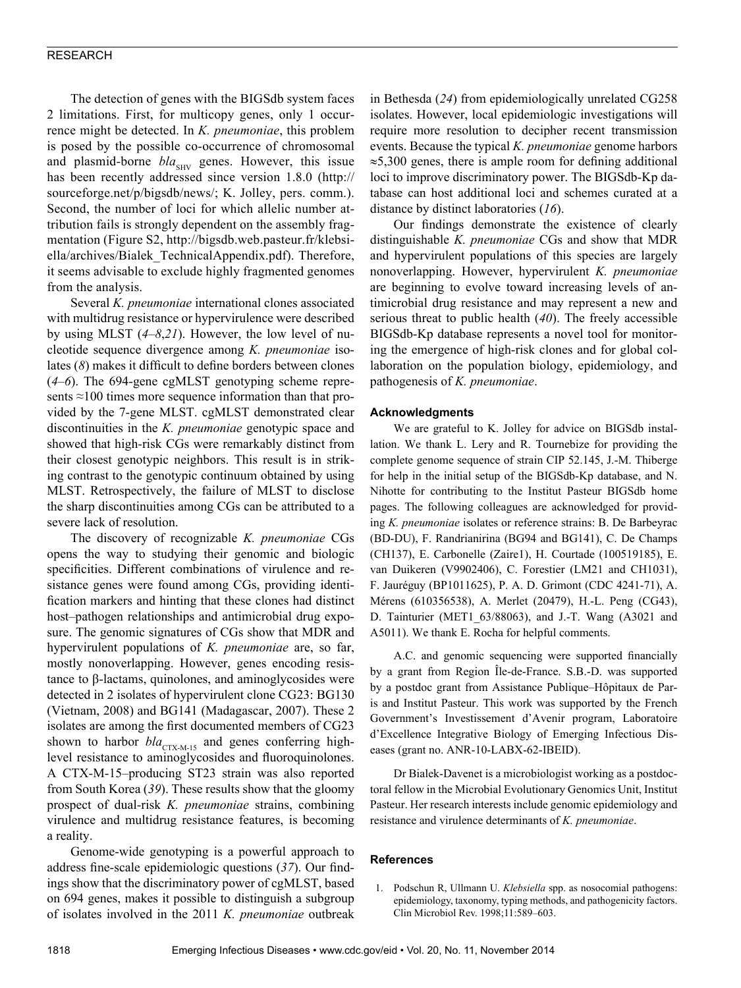The detection of genes with the BIGSdb system faces 2 limitations. First, for multicopy genes, only 1 occurrence might be detected. In *K. pneumoniae*, this problem is posed by the possible co-occurrence of chromosomal and plasmid-borne *bla*<sub>SHV</sub> genes. However, this issue has been recently addressed since version 1.8.0 (http:// sourceforge.net/p/bigsdb/news/; K. Jolley, pers. comm.). Second, the number of loci for which allelic number attribution fails is strongly dependent on the assembly fragmentation (Figure S2, http://bigsdb.web.pasteur.fr/klebsiella/archives/Bialek\_TechnicalAppendix.pdf). Therefore, it seems advisable to exclude highly fragmented genomes from the analysis.

Several *K. pneumoniae* international clones associated with multidrug resistance or hypervirulence were described by using MLST (*4*–*8*,*21*). However, the low level of nucleotide sequence divergence among *K. pneumoniae* isolates (*8*) makes it difficult to define borders between clones (*4*–*6*). The 694-gene cgMLST genotyping scheme represents ≈100 times more sequence information than that provided by the 7-gene MLST. cgMLST demonstrated clear discontinuities in the *K. pneumoniae* genotypic space and showed that high-risk CGs were remarkably distinct from their closest genotypic neighbors. This result is in striking contrast to the genotypic continuum obtained by using MLST. Retrospectively, the failure of MLST to disclose the sharp discontinuities among CGs can be attributed to a severe lack of resolution.

The discovery of recognizable *K. pneumoniae* CGs opens the way to studying their genomic and biologic specificities. Different combinations of virulence and resistance genes were found among CGs, providing identification markers and hinting that these clones had distinct host–pathogen relationships and antimicrobial drug exposure. The genomic signatures of CGs show that MDR and hypervirulent populations of *K. pneumoniae* are, so far, mostly nonoverlapping. However, genes encoding resistance to β-lactams, quinolones, and aminoglycosides were detected in 2 isolates of hypervirulent clone CG23: BG130 (Vietnam, 2008) and BG141 (Madagascar, 2007). These 2 isolates are among the first documented members of CG23 shown to harbor  $bla_{\text{CTX-M-15}}$  and genes conferring highlevel resistance to aminoglycosides and fluoroquinolones. A CTX-M-15–producing ST23 strain was also reported from South Korea (*39*). These results show that the gloomy prospect of dual-risk *K. pneumoniae* strains, combining virulence and multidrug resistance features, is becoming a reality.

Genome-wide genotyping is a powerful approach to address fine-scale epidemiologic questions (*37*). Our findings show that the discriminatory power of cgMLST, based on 694 genes, makes it possible to distinguish a subgroup of isolates involved in the 2011 *K. pneumoniae* outbreak

in Bethesda (*24*) from epidemiologically unrelated CG258 isolates. However, local epidemiologic investigations will require more resolution to decipher recent transmission events. Because the typical *K. pneumoniae* genome harbors ≈5,300 genes, there is ample room for defining additional loci to improve discriminatory power. The BIGSdb-Kp database can host additional loci and schemes curated at a distance by distinct laboratories (*16*).

Our findings demonstrate the existence of clearly distinguishable *K. pneumoniae* CGs and show that MDR and hypervirulent populations of this species are largely nonoverlapping. However, hypervirulent *K. pneumoniae* are beginning to evolve toward increasing levels of antimicrobial drug resistance and may represent a new and serious threat to public health (*40*). The freely accessible BIGSdb-Kp database represents a novel tool for monitoring the emergence of high-risk clones and for global collaboration on the population biology, epidemiology, and pathogenesis of *K. pneumoniae*.

## **Acknowledgments**

We are grateful to K. Jolley for advice on BIGSdb installation. We thank L. Lery and R. Tournebize for providing the complete genome sequence of strain CIP 52.145, J.-M. Thiberge for help in the initial setup of the BIGSdb-Kp database, and N. Nihotte for contributing to the Institut Pasteur BIGSdb home pages. The following colleagues are acknowledged for providing *K. pneumoniae* isolates or reference strains: B. De Barbeyrac (BD-DU), F. Randrianirina (BG94 and BG141), C. De Champs (CH137), E. Carbonelle (Zaire1), H. Courtade (100519185), E. van Duikeren (V9902406), C. Forestier (LM21 and CH1031), F. Jauréguy (BP1011625), P. A. D. Grimont (CDC 4241-71), A. Mérens (610356538), A. Merlet (20479), H.-L. Peng (CG43), D. Tainturier (MET1\_63/88063), and J.-T. Wang (A3021 and A5011). We thank E. Rocha for helpful comments.

A.C. and genomic sequencing were supported financially by a grant from Region Île-de-France. S.B.-D. was supported by a postdoc grant from Assistance Publique–Hôpitaux de Paris and Institut Pasteur. This work was supported by the French Government's Investissement d'Avenir program, Laboratoire d'Excellence Integrative Biology of Emerging Infectious Diseases (grant no. ANR-10-LABX-62-IBEID).

Dr Bialek-Davenet is a microbiologist working as a postdoctoral fellow in the Microbial Evolutionary Genomics Unit, Institut Pasteur. Her research interests include genomic epidemiology and resistance and virulence determinants of *K. pneumoniae*.

#### **References**

 1. Podschun R, Ullmann U. *Klebsiella* spp. as nosocomial pathogens: epidemiology, taxonomy, typing methods, and pathogenicity factors. Clin Microbiol Rev. 1998;11:589–603.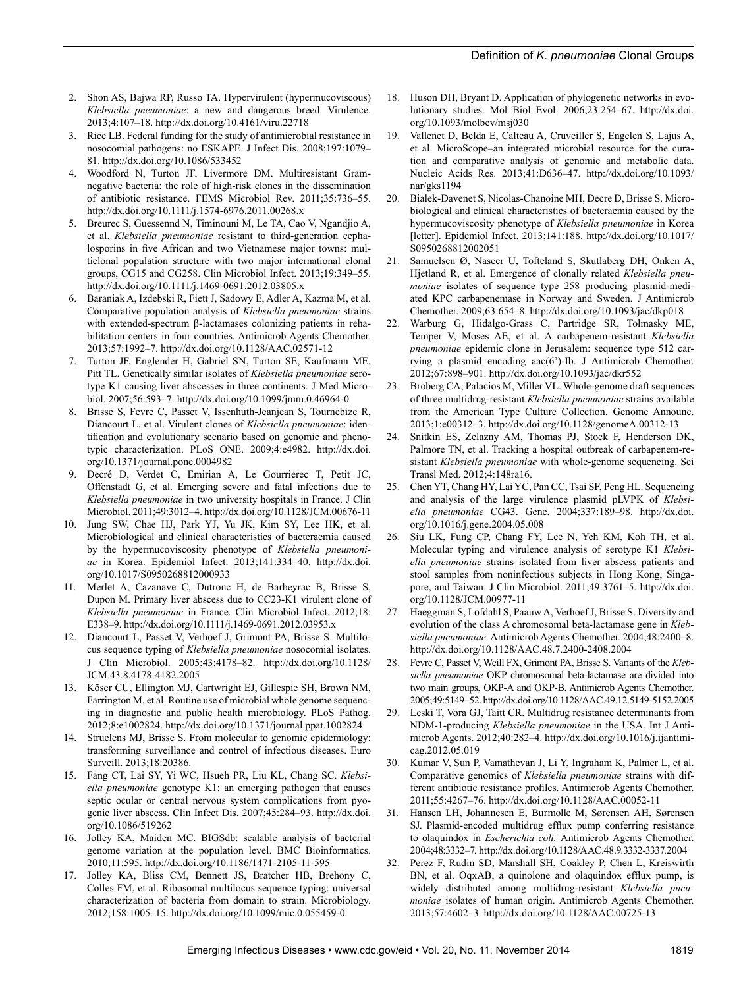- 2. Shon AS, Bajwa RP, Russo TA. Hypervirulent (hypermucoviscous) *Klebsiella pneumoniae*: a new and dangerous breed. Virulence. 2013;4:107–18. http://dx.doi.org/10.4161/viru.22718
- 3. Rice LB. Federal funding for the study of antimicrobial resistance in nosocomial pathogens: no ESKAPE. J Infect Dis. 2008;197:1079– 81. http://dx.doi.org/10.1086/533452
- 4. Woodford N, Turton JF, Livermore DM. Multiresistant Gramnegative bacteria: the role of high-risk clones in the dissemination of antibiotic resistance. FEMS Microbiol Rev. 2011;35:736–55. http://dx.doi.org/10.1111/j.1574-6976.2011.00268.x
- 5. Breurec S, Guessennd N, Timinouni M, Le TA, Cao V, Ngandjio A, et al. *Klebsiella pneumoniae* resistant to third-generation cephalosporins in five African and two Vietnamese major towns: multiclonal population structure with two major international clonal groups, CG15 and CG258. Clin Microbiol Infect. 2013;19:349–55. http://dx.doi.org/10.1111/j.1469-0691.2012.03805.x
- 6. Baraniak A, Izdebski R, Fiett J, Sadowy E, Adler A, Kazma M, et al. Comparative population analysis of *Klebsiella pneumoniae* strains with extended-spectrum β-lactamases colonizing patients in rehabilitation centers in four countries. Antimicrob Agents Chemother. 2013;57:1992–7. http://dx.doi.org/10.1128/AAC.02571-12
- 7. Turton JF, Englender H, Gabriel SN, Turton SE, Kaufmann ME, Pitt TL. Genetically similar isolates of *Klebsiella pneumoniae* serotype K1 causing liver abscesses in three continents. J Med Microbiol. 2007;56:593–7. http://dx.doi.org/10.1099/jmm.0.46964-0
- 8. Brisse S, Fevre C, Passet V, Issenhuth-Jeanjean S, Tournebize R, Diancourt L, et al. Virulent clones of *Klebsiella pneumoniae*: identification and evolutionary scenario based on genomic and phenotypic characterization. PLoS ONE. 2009;4:e4982. http://dx.doi. org/10.1371/journal.pone.0004982
- 9. Decré D, Verdet C, Emirian A, Le Gourrierec T, Petit JC, Offenstadt G, et al. Emerging severe and fatal infections due to *Klebsiella pneumoniae* in two university hospitals in France. J Clin Microbiol. 2011;49:3012–4. http://dx.doi.org/10.1128/JCM.00676-11
- 10. Jung SW, Chae HJ, Park YJ, Yu JK, Kim SY, Lee HK, et al. Microbiological and clinical characteristics of bacteraemia caused by the hypermucoviscosity phenotype of *Klebsiella pneumoniae* in Korea. Epidemiol Infect. 2013;141:334–40. http://dx.doi. org/10.1017/S0950268812000933
- 11. Merlet A, Cazanave C, Dutronc H, de Barbeyrac B, Brisse S, Dupon M. Primary liver abscess due to CC23-K1 virulent clone of *Klebsiella pneumoniae* in France. Clin Microbiol Infect. 2012;18: E338–9. http://dx.doi.org/10.1111/j.1469-0691.2012.03953.x
- 12. Diancourt L, Passet V, Verhoef J, Grimont PA, Brisse S. Multilocus sequence typing of *Klebsiella pneumoniae* nosocomial isolates. J Clin Microbiol. 2005;43:4178–82. http://dx.doi.org/10.1128/ JCM.43.8.4178-4182.2005
- 13. Köser CU, Ellington MJ, Cartwright EJ, Gillespie SH, Brown NM, Farrington M, et al. Routine use of microbial whole genome sequencing in diagnostic and public health microbiology. PLoS Pathog. 2012;8:e1002824. http://dx.doi.org/10.1371/journal.ppat.1002824
- 14. Struelens MJ, Brisse S. From molecular to genomic epidemiology: transforming surveillance and control of infectious diseases. Euro Surveill. 2013;18:20386.
- 15. Fang CT, Lai SY, Yi WC, Hsueh PR, Liu KL, Chang SC. *Klebsiella pneumoniae* genotype K1: an emerging pathogen that causes septic ocular or central nervous system complications from pyogenic liver abscess. Clin Infect Dis. 2007;45:284–93. http://dx.doi. org/10.1086/519262
- 16. Jolley KA, Maiden MC. BIGSdb: scalable analysis of bacterial genome variation at the population level. BMC Bioinformatics. 2010;11:595. http://dx.doi.org/10.1186/1471-2105-11-595
- 17. Jolley KA, Bliss CM, Bennett JS, Bratcher HB, Brehony C, Colles FM, et al. Ribosomal multilocus sequence typing: universal characterization of bacteria from domain to strain. Microbiology. 2012;158:1005–15. http://dx.doi.org/10.1099/mic.0.055459-0
- 18. Huson DH, Bryant D. Application of phylogenetic networks in evolutionary studies. Mol Biol Evol. 2006;23:254–67. http://dx.doi. org/10.1093/molbev/msj030
- 19. Vallenet D, Belda E, Calteau A, Cruveiller S, Engelen S, Lajus A, et al. MicroScope–an integrated microbial resource for the curation and comparative analysis of genomic and metabolic data. Nucleic Acids Res. 2013;41:D636–47. http://dx.doi.org/10.1093/ nar/gks1194
- 20. Bialek-Davenet S, Nicolas-Chanoine MH, Decre D, Brisse S. Microbiological and clinical characteristics of bacteraemia caused by the hypermucoviscosity phenotype of *Klebsiella pneumoniae* in Korea [letter]. Epidemiol Infect. 2013;141:188. http://dx.doi.org/10.1017/ S0950268812002051
- 21. Samuelsen Ø, Naseer U, Tofteland S, Skutlaberg DH, Onken A, Hjetland R, et al. Emergence of clonally related *Klebsiella pneumoniae* isolates of sequence type 258 producing plasmid-mediated KPC carbapenemase in Norway and Sweden. J Antimicrob Chemother. 2009;63:654–8. http://dx.doi.org/10.1093/jac/dkp018
- 22. Warburg G, Hidalgo-Grass C, Partridge SR, Tolmasky ME, Temper V, Moses AE, et al. A carbapenem-resistant *Klebsiella pneumoniae* epidemic clone in Jerusalem: sequence type 512 carrying a plasmid encoding aac(6')-Ib. J Antimicrob Chemother. 2012;67:898–901. http://dx.doi.org/10.1093/jac/dkr552
- 23. Broberg CA, Palacios M, Miller VL. Whole-genome draft sequences of three multidrug-resistant *Klebsiella pneumoniae* strains available from the American Type Culture Collection. Genome Announc. 2013;1:e00312–3. http://dx.doi.org/10.1128/genomeA.00312-13
- 24. Snitkin ES, Zelazny AM, Thomas PJ, Stock F, Henderson DK, Palmore TN, et al. Tracking a hospital outbreak of carbapenem-resistant *Klebsiella pneumoniae* with whole-genome sequencing. Sci Transl Med. 2012;4:148ra16.
- 25. Chen YT, Chang HY, Lai YC, Pan CC, Tsai SF, Peng HL. Sequencing and analysis of the large virulence plasmid pLVPK of *Klebsiella pneumoniae* CG43. Gene. 2004;337:189–98. http://dx.doi. org/10.1016/j.gene.2004.05.008
- 26. Siu LK, Fung CP, Chang FY, Lee N, Yeh KM, Koh TH, et al. Molecular typing and virulence analysis of serotype K1 *Klebsiella pneumoniae* strains isolated from liver abscess patients and stool samples from noninfectious subjects in Hong Kong, Singapore, and Taiwan. J Clin Microbiol. 2011;49:3761–5. http://dx.doi. org/10.1128/JCM.00977-11
- 27. Haeggman S, Lofdahl S, Paauw A, Verhoef J, Brisse S. Diversity and evolution of the class A chromosomal beta-lactamase gene in *Klebsiella pneumoniae.* Antimicrob Agents Chemother. 2004;48:2400–8. http://dx.doi.org/10.1128/AAC.48.7.2400-2408.2004
- 28. Fevre C, Passet V, Weill FX, Grimont PA, Brisse S. Variants of the *Klebsiella pneumoniae* OKP chromosomal beta-lactamase are divided into two main groups, OKP-A and OKP-B. Antimicrob Agents Chemother. 2005;49:5149–52. http://dx.doi.org/10.1128/AAC.49.12.5149-5152.2005
- 29. Leski T, Vora GJ, Taitt CR. Multidrug resistance determinants from NDM-1-producing *Klebsiella pneumoniae* in the USA. Int J Antimicrob Agents. 2012;40:282–4. http://dx.doi.org/10.1016/j.ijantimicag.2012.05.019
- 30. Kumar V, Sun P, Vamathevan J, Li Y, Ingraham K, Palmer L, et al. Comparative genomics of *Klebsiella pneumoniae* strains with different antibiotic resistance profiles. Antimicrob Agents Chemother. 2011;55:4267–76. http://dx.doi.org/10.1128/AAC.00052-11
- 31. Hansen LH, Johannesen E, Burmolle M, Sørensen AH, Sørensen SJ. Plasmid-encoded multidrug efflux pump conferring resistance to olaquindox in *Escherichia coli.* Antimicrob Agents Chemother. 2004;48:3332–7. http://dx.doi.org/10.1128/AAC.48.9.3332-3337.2004
- 32. Perez F, Rudin SD, Marshall SH, Coakley P, Chen L, Kreiswirth BN, et al. OqxAB, a quinolone and olaquindox efflux pump, is widely distributed among multidrug-resistant *Klebsiella pneumoniae* isolates of human origin. Antimicrob Agents Chemother. 2013;57:4602–3. http://dx.doi.org/10.1128/AAC.00725-13